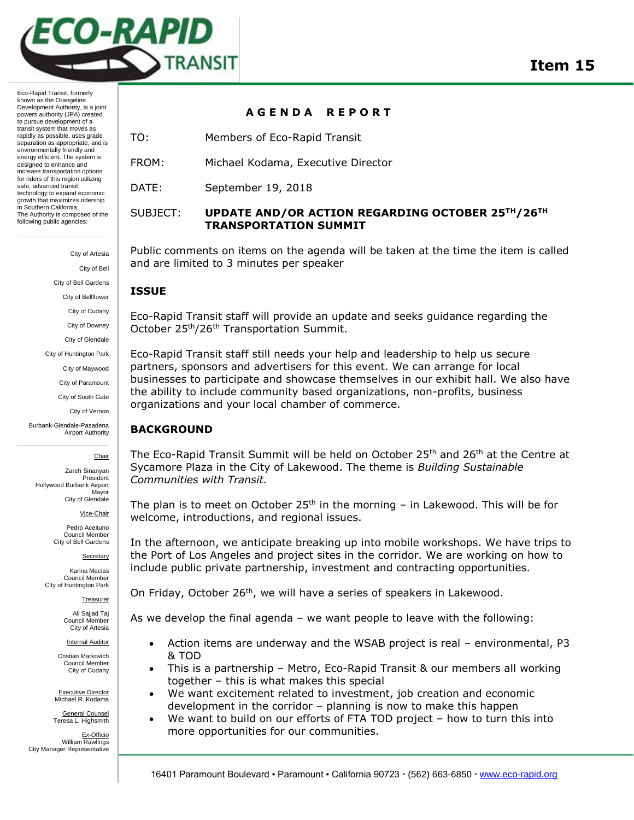

Eco-Rapid Transit, formerly known as the Orangeline Development Authority, is a joint powers authority (JPA) created to pursue development of a transit system that moves as rapidly as possible, uses grade separation as appropriate, and is environmentally friendly and energy efficient. The system is designed to enhance and increase transportation options for riders of this region utilizing safe, advanced transit technology to expand economic growth that maximizes ridership in Southern California. The Authority is composed of the following public agencies:

> City of Artesia City of Bell City of Bell Gardens City of Bellflower City of Cudahy City of Downey City of Glendale City of Huntington Park City of Maywood City of Paramount City of South Gate

> > City of Vernon

Burbank-Glendale-Pasadena Airport Authority

Chair

Zareh Sinanyan President Hollywood Burbank Airport Mayor City of Glendale

Vice-Chair

Pedro Aceituno Council Member City of Bell Gardens

Secretary

Karina Macias Council Member City of Huntington Park

Treasurer

Ali Sajjad Taj Council Member City of Artesia

Internal Auditor

Cristian Markovich Council Member City of Cudahy

Executive Director Michael R. Kodama

General Counsel Teresa L. Highsmith

Ex-Officio William Rawlings City Manager Representative

#### **A G E N D A R E P O R T**

- TO: Members of Eco-Rapid Transit
- FROM: Michael Kodama, Executive Director
- DATE: September 19, 2018

# SUBJECT: **UPDATE AND/OR ACTION REGARDING OCTOBER 25TH/26TH TRANSPORTATION SUMMIT**

Public comments on items on the agenda will be taken at the time the item is called and are limited to 3 minutes per speaker

### **ISSUE**

Eco-Rapid Transit staff will provide an update and seeks guidance regarding the October 25th/26th Transportation Summit.

Eco-Rapid Transit staff still needs your help and leadership to help us secure partners, sponsors and advertisers for this event. We can arrange for local businesses to participate and showcase themselves in our exhibit hall. We also have the ability to include community based organizations, non-profits, business organizations and your local chamber of commerce.

### **BACKGROUND**

The Eco-Rapid Transit Summit will be held on October 25<sup>th</sup> and 26<sup>th</sup> at the Centre at Sycamore Plaza in the City of Lakewood. The theme is *Building Sustainable Communities with Transit.*

The plan is to meet on October  $25<sup>th</sup>$  in the morning – in Lakewood. This will be for welcome, introductions, and regional issues.

In the afternoon, we anticipate breaking up into mobile workshops. We have trips to the Port of Los Angeles and project sites in the corridor. We are working on how to include public private partnership, investment and contracting opportunities.

On Friday, October 26<sup>th</sup>, we will have a series of speakers in Lakewood.

As we develop the final agenda – we want people to leave with the following:

- Action items are underway and the WSAB project is real environmental, P3 & TOD
- This is a partnership Metro, Eco-Rapid Transit & our members all working together – this is what makes this special
- We want excitement related to investment, job creation and economic development in the corridor – planning is now to make this happen
- We want to build on our efforts of FTA TOD project how to turn this into more opportunities for our communities.